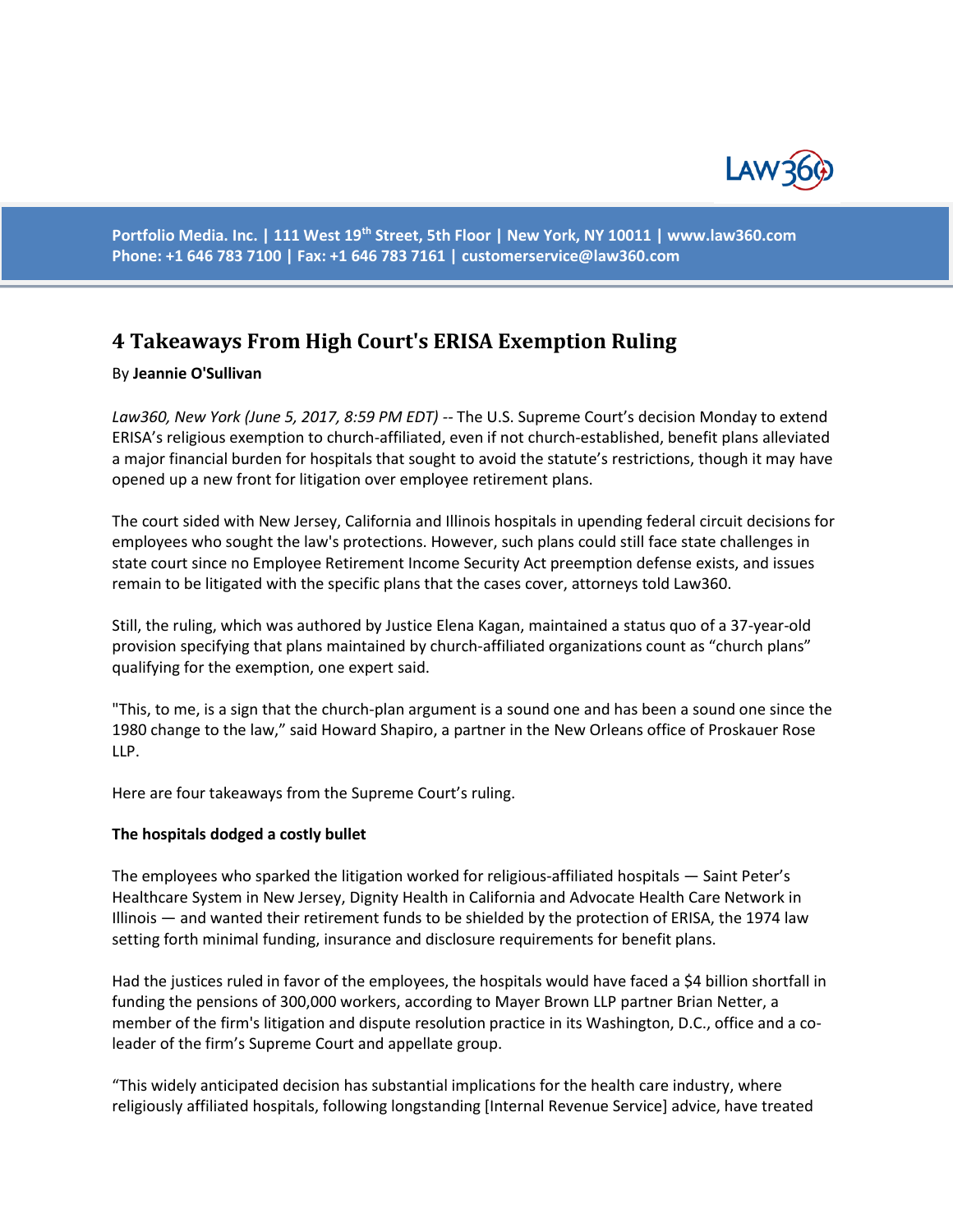

**Portfolio Media. Inc. | 111 West 19th Street, 5th Floor | New York, NY 10011 | www.law360.com Phone: +1 646 783 7100 | Fax: +1 646 783 7161 | [customerservice@law360.com](mailto:customerservice@law360.com)**

# **4 Takeaways From High Court's ERISA Exemption Ruling**

#### By **Jeannie O'Sullivan**

*Law360, New York (June 5, 2017, 8:59 PM EDT) --* The U.S. Supreme Court's decision Monday to extend ERISA's religious exemption to church-affiliated, even if not church-established, benefit plans alleviated a major financial burden for hospitals that sought to avoid the statute's restrictions, though it may have opened up a new front for litigation over employee retirement plans.

The court sided with New Jersey, California and Illinois hospitals in upending federal circuit decisions for employees who sought the law's protections. However, such plans could still face state challenges in state court since no Employee Retirement Income Security Act preemption defense exists, and issues remain to be litigated with the specific plans that the cases cover, attorneys told Law360.

Still, the ruling, which was authored by Justice Elena Kagan, maintained a status quo of a 37-year-old provision specifying that plans maintained by church-affiliated organizations count as "church plans" qualifying for the exemption, one expert said.

"This, to me, is a sign that the church-plan argument is a sound one and has been a sound one since the 1980 change to the law," said Howard Shapiro, a partner in the New Orleans office of Proskauer Rose LLP.

Here are four takeaways from the Supreme Court's ruling.

#### **The hospitals dodged a costly bullet**

The employees who sparked the litigation worked for religious-affiliated hospitals — Saint Peter's Healthcare System in New Jersey, Dignity Health in California and Advocate Health Care Network in Illinois — and wanted their retirement funds to be shielded by the protection of ERISA, the 1974 law setting forth minimal funding, insurance and disclosure requirements for benefit plans.

Had the justices ruled in favor of the employees, the hospitals would have faced a \$4 billion shortfall in funding the pensions of 300,000 workers, according to Mayer Brown LLP partner Brian Netter, a member of the firm's litigation and dispute resolution practice in its Washington, D.C., office and a coleader of the firm's Supreme Court and appellate group.

"This widely anticipated decision has substantial implications for the health care industry, where religiously affiliated hospitals, following longstanding [Internal Revenue Service] advice, have treated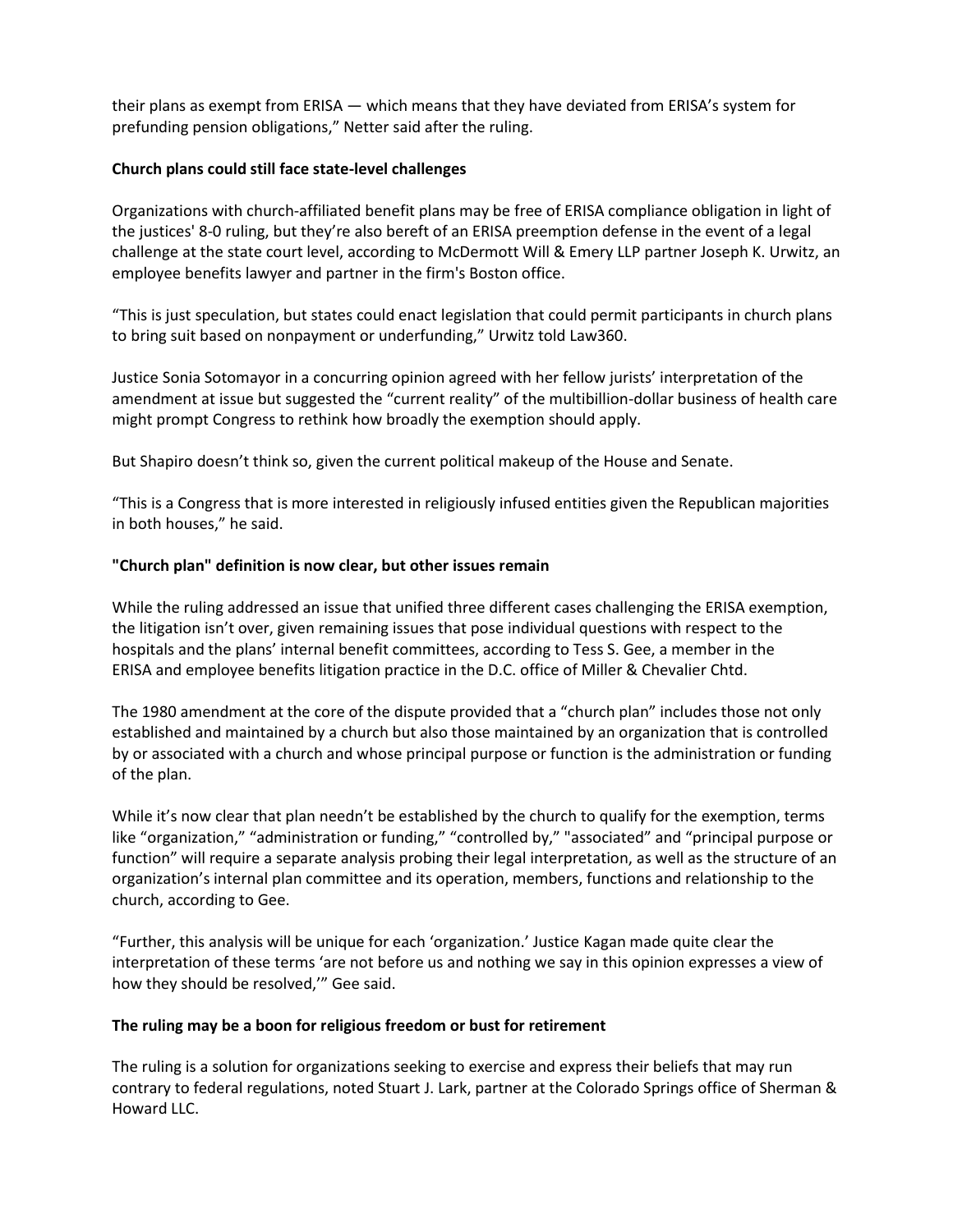their plans as exempt from ERISA — which means that they have deviated from ERISA's system for prefunding pension obligations," Netter said after the ruling.

### **Church plans could still face state-level challenges**

Organizations with church-affiliated benefit plans may be free of ERISA compliance obligation in light of the justices' 8-0 ruling, but they're also bereft of an ERISA preemption defense in the event of a legal challenge at the state court level, according to McDermott Will & Emery LLP partner Joseph K. Urwitz, an employee benefits lawyer and partner in the firm's Boston office.

"This is just speculation, but states could enact legislation that could permit participants in church plans to bring suit based on nonpayment or underfunding," Urwitz told Law360.

Justice Sonia Sotomayor in a concurring opinion agreed with her fellow jurists' interpretation of the amendment at issue but suggested the "current reality" of the multibillion-dollar business of health care might prompt Congress to rethink how broadly the exemption should apply.

But Shapiro doesn't think so, given the current political makeup of the House and Senate.

"This is a Congress that is more interested in religiously infused entities given the Republican majorities in both houses," he said.

## **"Church plan" definition is now clear, but other issues remain**

While the ruling addressed an issue that unified three different cases challenging the ERISA exemption, the litigation isn't over, given remaining issues that pose individual questions with respect to the hospitals and the plans' internal benefit committees, according to Tess S. Gee, a member in the ERISA and employee benefits litigation practice in the D.C. office of Miller & Chevalier Chtd.

The 1980 amendment at the core of the dispute provided that a "church plan" includes those not only established and maintained by a church but also those maintained by an organization that is controlled by or associated with a church and whose principal purpose or function is the administration or funding of the plan.

While it's now clear that plan needn't be established by the church to qualify for the exemption, terms like "organization," "administration or funding," "controlled by," "associated" and "principal purpose or function" will require a separate analysis probing their legal interpretation, as well as the structure of an organization's internal plan committee and its operation, members, functions and relationship to the church, according to Gee.

"Further, this analysis will be unique for each 'organization.' Justice Kagan made quite clear the interpretation of these terms 'are not before us and nothing we say in this opinion expresses a view of how they should be resolved,'" Gee said.

#### **The ruling may be a boon for religious freedom or bust for retirement**

The ruling is a solution for organizations seeking to exercise and express their beliefs that may run contrary to federal regulations, noted Stuart J. Lark, partner at the Colorado Springs office of Sherman & Howard LLC.